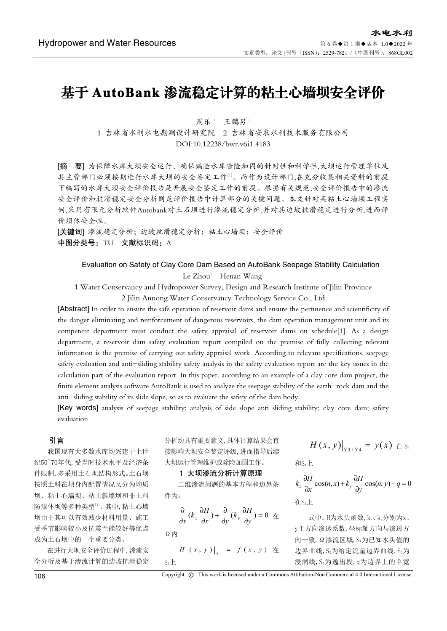# 基于 AutoBank 渗流稳定计算的粘土心墙坝安全评价

周乐1 王鹤男2 1 吉林省水利水电勘测设计研究院 2 吉林省安农水利技术服务有限公司 DOI:10.12238/hwr.v6i1.4183

[摘 要] 为保障水库大坝安全运行、确保病险水库除险加固的针对性和科学性,大坝运行管理单位及 其主管部门必须按期进行水库大坝的安全鉴定工作[1]。而作为设计部门,在充分收集相关资料的前提 下编写的水库大坝安全评价报告是开展安全鉴定工作的前提。根据有关规范,安全评价报告中的渗流 安全评价和抗滑稳定安全分析则是评价报告中计算部分的关键问题。本文针对某粘土心墙坝工程实 例,采用有限元分析软件Autobank对土石坝进行渗流稳定分析,并对其边坡抗滑稳定进行分析,进而评 价坝体安全性。

[关键词] 渗流稳定分析;边坡抗滑稳定分析;粘土心墙坝;安全评价 中图分类号: TU 文献标识码: A

Evaluation on Safety of Clay Core Dam Based on AutoBank Seepage Stability Calculation  $Le Zhou<sup>1</sup>$  Henan Wang<sup>2</sup>

1 Water Conservancy and Hydropower Survey, Design and Research Institute of Jilin Province

2 Jilin Annong Water Conservancy Technology Service Co., Ltd

[Abstract] In order to ensure the safe operation of reservoir dams and ensure the pertinence and scientificity of the danger eliminating and reinforcement of dangerous reservoirs, the dam operation management unit and its competent department must conduct the safety appraisal of reservoir dams on schedule[1]. As a design department, a reservoir dam safety evaluation report compiled on the premise of fully collecting relevant information is the premise of carrying out safety appraisal work. According to relevant specifications, seepage safety evaluation and anti-sliding stability safety analysis in the safety evaluation report are the key issues in the calculation part of the evaluation report. In this paper, according to an example of a clay core dam project, the finite element analysis software AutoBank is used to analyze the seepage stability of the earth-rock dam and the anti-sliding stability of its slide slope, so as to evaluate the safety of the dam body.

[Key words] analysis of seepage stability; analysis of side slope anti sliding stability; clay core dam; safety evaluation

## 引言

我国现有大多数水库均兴建于上世 纪50~70年代,受当时技术水平及经济条 件限制,多采用土石坝结构形式。土石坝 按照土料在坝身内配置情况又分为均质 坝、粘土心墙坝、粘土斜墙坝和非土料 防渗体坝等多种类型<sup>[2]</sup>。其中, 粘土心墙 坝由于其可以有效减少材料用量、施工 受季节影响较小及抗震性能较好等优点 成为土石坝中的一个重要分类。

在进行大坝安全评价过程中,渗流安 全分析及基于渗流计算的边坡抗滑稳定

分析均具有重要意义,具体计算结果会直 接影响大坝安全鉴定评级,进而指导后续 大坝运行管理维护或除险加固工作。

## 1 大坝渗流分析计算原理

二维渗流问题的基本方程和边界条 件为:

$$
\frac{\partial}{\partial x}(k_{x}\frac{\partial H}{\partial x})+\frac{\partial}{\partial y}(k_{y}\frac{\partial H}{\partial y})=0\ \not\equiv
$$

Ω内

$$
H(x, y)|_{s_1} = f(x, y) \text{ #}
$$
  

$$
S_1 \perp
$$

$$
H(x,y)\big|_{S3+S4}=y(x)\, \text{if }S_3
$$

和<sub>S4</sub>上

$$
k_x \frac{\partial H}{\partial x} \cos(n, x) + k_y \frac{\partial H}{\partial y} \cos(n, y) - q = 0
$$
  
ÆS<sub>2</sub> L

式中: H为水头函数, kx、ky分别为x、 y主方向渗透系数,坐标轴方向与渗透方 向一致,Ω渗流区域,S1为已知水头值的 边界曲线, S2为给定流量边界曲线, S3为 浸润线,S4为逸出段,q为边界上的单宽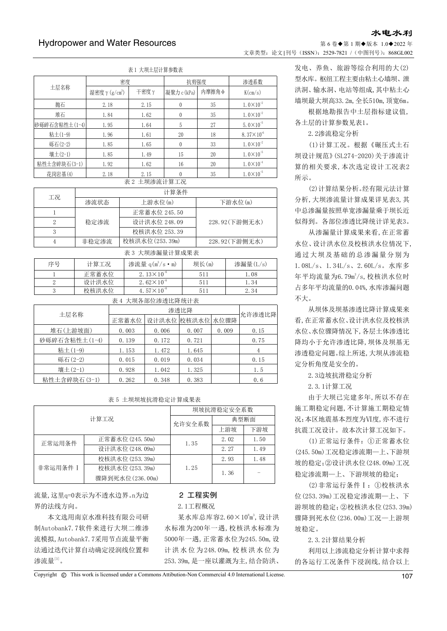# 第 6 卷◆第 1 期◆版本 1.0◆2022 年 文章类型: 论文 |刊号 (ISSN): 2529-7821 / (中图刊号): 868GL002

主:1 大垌上日出營会数主

| 仏工 八次工広圧开ジ双仏    |                |      |             |       |                       |  |
|-----------------|----------------|------|-------------|-------|-----------------------|--|
|                 | 密度             |      | 抗剪强度        |       | 渗透系数                  |  |
| 土层名称            | 湿密度γ $(g/cm3)$ | 干密度γ | 凝聚力 c (kPa) | 内摩擦角Φ | K(cm/s)               |  |
| 抛石              | 2.18           | 2.15 | $\Omega$    | 35    | $1.0 \times 10^{-2}$  |  |
| 堆石              | 1.84           | 1.62 | $\theta$    | 35    | $1.0 \times 10^{-2}$  |  |
| 砂砾碎石含粘性土 (1-4)  | 1.95           | 1.64 | 5           | 27    | $5.0 \times 10^{-5}$  |  |
| 粘土(1-9)         | 1.96           | 1.61 | 20          | 18    | $8.37 \times 10^{-6}$ |  |
| 砾石(2-2)         | 1.85           | 1.65 | $\Omega$    | 33    | $1.0 \times 10^{-2}$  |  |
| 壤土(2-1)         | 1.85           | 1.49 | 15          | 20    | $1.0 \times 10^{-5}$  |  |
| 粘性土含碎块石(3-1)    | 1.92           | 1.62 | 16          | 20    | $1.0 \times 10^{-4}$  |  |
| 花岗岩基(4)         | 2.18           | 2.15 | 0           | 35    | $1.0 \times 10^{-5}$  |  |
| 土坝渗流计算工况<br>表 2 |                |      |             |       |                       |  |

| 工况 | 计算条件  |                |                |  |  |
|----|-------|----------------|----------------|--|--|
|    | 渗流状态  | 上游水位(m)        | 下游水位(m)        |  |  |
|    |       | 正常蓄水位 245.50   |                |  |  |
| റ  | 稳定渗流  | 设计洪水位 248.09   | 228.92(下游侧无水)  |  |  |
| 3  |       | 校核洪水位 253.39   |                |  |  |
|    | 非稳定渗流 | 校核洪水位(253.39m) | 228.92 (下游侧无水) |  |  |

| 表 3 大坝渗漏量计算成果表 |       |                                |       |          |  |  |
|----------------|-------|--------------------------------|-------|----------|--|--|
| 序号             | 计算工况  | 渗流量 $q(m^3/s \cdot m)$         | 坝长(m) | 渗漏量(L/s) |  |  |
|                | 正常蓄水位 | 2. $13 \times 10^{-6}$         | 511   | 1.08     |  |  |
|                | 设计洪水位 | 2.62 $\times$ 10 <sup>-6</sup> | 511   | 1.34     |  |  |
|                | 校核洪水位 | 4.57 $\times$ 10 <sup>-6</sup> | 511   | 2.34     |  |  |

|      | 表 4 大坝各部位渗透比降统计表 |             |       |       |       |        |
|------|------------------|-------------|-------|-------|-------|--------|
|      |                  | 渗透比降        |       |       |       | 允许渗透比降 |
| 土层名称 | 正常蓄水位            | 设计洪水位 校核洪水位 |       | 水位骤降  |       |        |
|      | 堆石(上游坡面)         | 0.003       | 0.006 | 0.007 | 0.009 | 0.15   |
|      | 砂砾碎石含粘性土(1-4)    | 0.139       | 0.172 | 0.721 |       | 0.75   |
|      | 粘土(1-9)          | 1.153       | 1.472 | 1.645 |       |        |
|      | 砾石(2-2)          | 0.015       | 0.019 | 0.034 |       | 0.15   |
|      | 壤土(2-1)          | 0.928       | 1.042 | 1.325 |       | 1.5    |
|      | 粘性土含碎块石 (3-1)    | 0.262       | 0.348 | 0.383 |       | 0.6    |

## 表 5 土坝坝坡抗滑稳定计算成果表

| 计算工况     |                  | 坝坡抗滑稳定安全系数 |      |      |  |
|----------|------------------|------------|------|------|--|
|          |                  | 允许安全系数     | 典型断面 |      |  |
|          |                  |            | 上游坡  | 下游坡  |  |
| 正常运用条件   | 正常蓄水位 (245.50m)  | 1.35       | 2.02 | 1.50 |  |
|          | 设计洪水位 (248.09m)  |            | 2.27 | 1.49 |  |
|          | 校核洪水位 (253.39m)  |            | 2.93 | 1.48 |  |
| 非常运用条件 I | 校核洪水位 (253.39m)  | 1.25       | 1.36 |      |  |
|          | 骤降到死水位 (236.00m) |            |      |      |  |

流量,这里q=0表示为不透水边界。n为边 界的法线方向。

本文选用南京水准科技有限公司研 制Autobank7.7软件来进行大坝二维渗 流模拟,Autobank7.7采用节点流量平衡 法通过迭代计算自动确定浸润线位置和 渗流量 $^{\scriptscriptstyle[3]}$ 。

## 2 工程实例

2.1工程概况

某水库总库容 $2.60 \times 10^8$ m<sup>3</sup>, 设计洪 水标准为200年一遇,校核洪水标准为 5000年一遇,正常蓄水位为245.50m,设 计洪水位为248.09m, 校 核 洪水位为 253.39m,是一座以灌溉为主,结合防洪、

发电、养鱼、旅游等综合利用的大(2) 型水库。枢纽工程主要由粘土心墙坝、泄 洪洞、输水洞、电站等组成,其中粘土心 墙坝最大坝高33.2m,全长510m,顶宽6m。

水电水利

根据地勘报告中土层指标建议值, 各土层的计算参数见表1。

2.2渗流稳定分析

(1)计算工况。根据《碾压式土石 坝设计规范》(SL274-2020)关于渗流计 算的相关要求,本次选定设计工况表2 所示。

(2)计算结果分析。经有限元法计算 分析,大坝渗流量计算成果详见表3,其 中总渗漏量按照单宽渗漏量乘于坝长近 似得到。各部位渗透比降统计详见表3。

从渗漏量计算成果来看,在正常蓄 水位、设计洪水位及校核洪水位情况下, 通过大坝及基础的总渗漏量分别为 1.08L/s、1.34L/s、2.60L/s。水库多 年平均流量为6.79m3/s,校核洪水位时 占多年平均流量的0.04%,水库渗漏问题 不大。

从坝体及坝基渗透比降计算成果来 看,在正常蓄水位、设计洪水位及校核洪 水位、水位骤降情况下,各层土体渗透比 降均小于允许渗透比降,坝体及坝基无 渗透稳定问题。综上所述,大坝从渗流稳 定分析角度是安全的。

2.3边坡抗滑稳定分析

2.3.1计算工况

由于大坝已完建多年,所以不存在 施工期稳定问题,不计算施工期稳定情 况;本区地震基本烈度为Ⅵ度,亦不进行 抗震工况设计。故本次计算工况如下。

(1)正常运行条件:①正常蓄水位 (245.50m)工况稳定渗流期—上、下游坝 坡的稳定;②设计洪水位(248.09m)工况 稳定渗流期—上、下游坝坡的稳定;

(2)非常运行条件Ⅰ:①校核洪水 位(253.39m)工况稳定渗流期—上、下 游坝坡的稳定;②校核洪水位(253.39m) 骤降到死水位(236.00m)工况—上游坝 坡稳定。

2.3.2计算结果分析

利用以上渗流稳定分析计算中求得 的各运行工况条件下浸润线,结合以上

Copyright  $\circledR$  This work is licensed under a Commons Attibution-Non Commercial 4.0 International License. 107